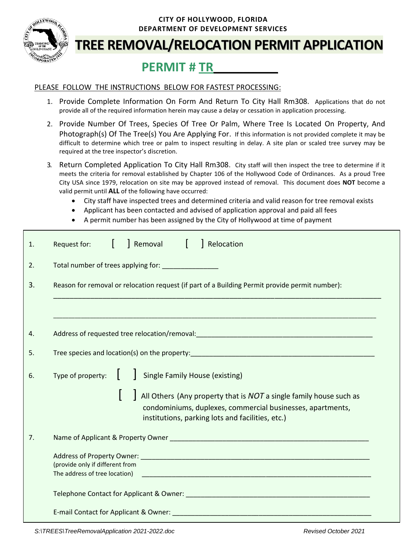

#### **CITY OF HOLLYWOOD, FLORIDA DEPARTMENT OF DEVELOPMENT SERVICES**

# **TREE REMOVAL/RELOCATION PERMIT APPLICATION**

# **PERMIT # TR\_\_\_\_\_\_\_\_\_\_\_\_\_**

#### PLEASE FOLLOW THE INSTRUCTIONS BELOW FOR FASTEST PROCESSING:

- 1. Provide Complete Information On Form And Return To City Hall Rm308.Applications that do not provide all of the required information herein may cause a delay or cessation in application processing.
- 2. Provide Number Of Trees, Species Of Tree Or Palm, Where Tree Is Located On Property, And Photograph(s) Of The Tree(s) You Are Applying For. If this information is not provided complete it may be difficult to determine which tree or palm to inspect resulting in delay. A site plan or scaled tree survey may be required at the tree inspector's discretion.
- 3. Return Completed Application To City Hall Rm308. City staff will then inspect the tree to determine if it meets the criteria for removal established by Chapter 106 of the Hollywood Code of Ordinances. As a proud Tree City USA since 1979, relocation on site may be approved instead of removal. This document does **NOT** become a valid permit until **ALL** of the following have occurred:
	- City staff have inspected trees and determined criteria and valid reason for tree removal exists
	- Applicant has been contacted and advised of application approval and paid all fees
	- A permit number has been assigned by the City of Hollywood at time of payment

| 1. | Removal   Relocation<br>Request for:<br>$\mathbf{L}$                                                                                                                                 |  |  |  |  |
|----|--------------------------------------------------------------------------------------------------------------------------------------------------------------------------------------|--|--|--|--|
| 2. | Total number of trees applying for: ______________                                                                                                                                   |  |  |  |  |
| 3. | Reason for removal or relocation request (if part of a Building Permit provide permit number):                                                                                       |  |  |  |  |
|    |                                                                                                                                                                                      |  |  |  |  |
| 4. |                                                                                                                                                                                      |  |  |  |  |
| 5. |                                                                                                                                                                                      |  |  |  |  |
| 6. | Type of property: $\begin{bmatrix} 1 & 1 \end{bmatrix}$ Single Family House (existing)                                                                                               |  |  |  |  |
|    | All Others (Any property that is NOT a single family house such as<br>condominiums, duplexes, commercial businesses, apartments,<br>institutions, parking lots and facilities, etc.) |  |  |  |  |
| 7. |                                                                                                                                                                                      |  |  |  |  |
|    | (provide only if different from                                                                                                                                                      |  |  |  |  |
|    |                                                                                                                                                                                      |  |  |  |  |
|    |                                                                                                                                                                                      |  |  |  |  |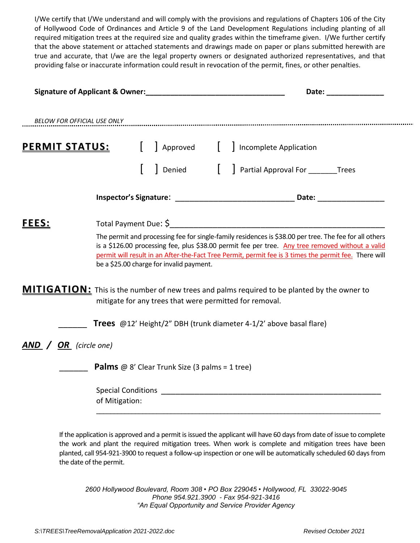I/We certify that I/We understand and will comply with the provisions and regulations of Chapters 106 of the City of Hollywood Code of Ordinances and Article 9 of the Land Development Regulations including planting of all required mitigation trees at the required size and quality grades within the timeframe given. I/We further certify that the above statement or attached statements and drawings made on paper or plans submitted herewith are true and accurate, that I/we are the legal property owners or designated authorized representatives, and that providing false or inaccurate information could result in revocation of the permit, fines, or other penalties.

|                                     | Signature of Applicant & Owner: Management of Applicant & Owner:                                                                                                                                                                                                                                                                                                |  |  |
|-------------------------------------|-----------------------------------------------------------------------------------------------------------------------------------------------------------------------------------------------------------------------------------------------------------------------------------------------------------------------------------------------------------------|--|--|
|                                     | BELOW FOR OFFICIAL USE ONLY Examples and the control of the control of the control of the control of the control of the control of the control of the control of the control of the control of the control of the control of t                                                                                                                                  |  |  |
| <u>PERMIT STATUS:</u>               | Approved [ ] Incomplete Application                                                                                                                                                                                                                                                                                                                             |  |  |
|                                     | Denied [ ] Partial Approval For ________Trees                                                                                                                                                                                                                                                                                                                   |  |  |
|                                     |                                                                                                                                                                                                                                                                                                                                                                 |  |  |
| <b>FEES:</b>                        | Total Payment Due: \$                                                                                                                                                                                                                                                                                                                                           |  |  |
|                                     | The permit and processing fee for single-family residences is \$38.00 per tree. The fee for all others<br>is a \$126.00 processing fee, plus \$38.00 permit fee per tree. Any tree removed without a valid<br>permit will result in an After-the-Fact Tree Permit, permit fee is 3 times the permit fee. There will<br>be a \$25.00 charge for invalid payment. |  |  |
|                                     | <b>MITIGATION:</b> This is the number of new trees and palms required to be planted by the owner to<br>mitigate for any trees that were permitted for removal.                                                                                                                                                                                                  |  |  |
|                                     | Trees @12' Height/2" DBH (trunk diameter 4-1/2' above basal flare)                                                                                                                                                                                                                                                                                              |  |  |
| <b>AND</b> / <b>OR</b> (circle one) |                                                                                                                                                                                                                                                                                                                                                                 |  |  |
|                                     | <b>Palms</b> @ 8' Clear Trunk Size (3 palms = 1 tree)                                                                                                                                                                                                                                                                                                           |  |  |
|                                     | of Mitigation:                                                                                                                                                                                                                                                                                                                                                  |  |  |
|                                     |                                                                                                                                                                                                                                                                                                                                                                 |  |  |
|                                     | If the application is approved and a permit is issued the applicant will have 60 days from date of issue to complete                                                                                                                                                                                                                                            |  |  |

the work and plant the required mitigation trees. When work is complete and mitigation trees have been planted, call 954-921-3900 to request a follow-up inspection or one will be automatically scheduled 60 days from the date of the permit.

*2600 Hollywood Boulevard, Room 308 • PO Box 229045 • Hollywood, FL 33022-9045 Phone 954.921.3900 - Fax 954-921-3416 "An Equal Opportunity and Service Provider Agency*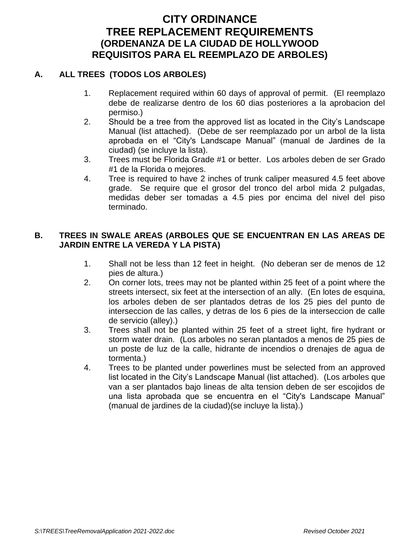# **CITY ORDINANCE TREE REPLACEMENT REQUIREMENTS (ORDENANZA DE LA CIUDAD DE HOLLYWOOD REQUISITOS PARA EL REEMPLAZO DE ARBOLES)**

# **A. ALL TREES (TODOS LOS ARBOLES)**

- 1. Replacement required within 60 days of approval of permit. (El reemplazo debe de realizarse dentro de los 60 dias posteriores a la aprobacion del permiso.)
- 2. Should be a tree from the approved list as located in the City's Landscape Manual (list attached). (Debe de ser reemplazado por un arbol de la lista aprobada en el "City's Landscape Manual" (manual de Jardines de la ciudad) (se incluye la lista).
- 3. Trees must be Florida Grade #1 or better. Los arboles deben de ser Grado #1 de la Florida o mejores.
- 4. Tree is required to have 2 inches of trunk caliper measured 4.5 feet above grade. Se require que el grosor del tronco del arbol mida 2 pulgadas, medidas deber ser tomadas a 4.5 pies por encima del nivel del piso terminado.

### **B. TREES IN SWALE AREAS (ARBOLES QUE SE ENCUENTRAN EN LAS AREAS DE JARDIN ENTRE LA VEREDA Y LA PISTA)**

- 1. Shall not be less than 12 feet in height. (No deberan ser de menos de 12 pies de altura.)
- 2. On corner lots, trees may not be planted within 25 feet of a point where the streets intersect, six feet at the intersection of an ally. (En lotes de esquina, los arboles deben de ser plantados detras de los 25 pies del punto de interseccion de las calles, y detras de los 6 pies de la interseccion de calle de servicio (alley).)
- 3. Trees shall not be planted within 25 feet of a street light, fire hydrant or storm water drain. (Los arboles no seran plantados a menos de 25 pies de un poste de luz de la calle, hidrante de incendios o drenajes de agua de tormenta.)
- 4. Trees to be planted under powerlines must be selected from an approved list located in the City's Landscape Manual (list attached). (Los arboles que van a ser plantados bajo lineas de alta tension deben de ser escojidos de una lista aprobada que se encuentra en el "City's Landscape Manual" (manual de jardines de la ciudad)(se incluye la lista).)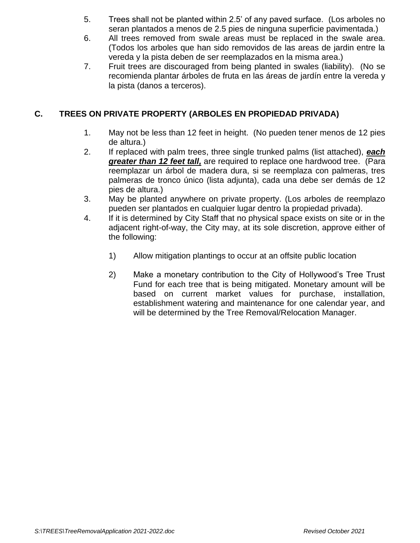- 5. Trees shall not be planted within 2.5' of any paved surface. (Los arboles no seran plantados a menos de 2.5 pies de ninguna superficie pavimentada.)
- 6. All trees removed from swale areas must be replaced in the swale area. (Todos los arboles que han sido removidos de las areas de jardin entre la vereda y la pista deben de ser reemplazados en la misma area.)
- 7. Fruit trees are discouraged from being planted in swales (liability). (No se recomienda plantar árboles de fruta en las áreas de jardín entre la vereda y la pista (danos a terceros).

# **C. TREES ON PRIVATE PROPERTY (ARBOLES EN PROPIEDAD PRIVADA)**

- 1. May not be less than 12 feet in height. (No pueden tener menos de 12 pies de altura.)
- 2. If replaced with palm trees, three single trunked palms (list attached), *each greater than 12 feet tall,* are required to replace one hardwood tree. (Para reemplazar un árbol de madera dura, si se reemplaza con palmeras, tres palmeras de tronco único (lista adjunta), cada una debe ser demás de 12 pies de altura.)
- 3. May be planted anywhere on private property. (Los arboles de reemplazo pueden ser plantados en cualquier lugar dentro la propiedad privada).
- 4. If it is determined by City Staff that no physical space exists on site or in the adjacent right-of-way, the City may, at its sole discretion, approve either of the following:
	- 1) Allow mitigation plantings to occur at an offsite public location
	- 2) Make a monetary contribution to the City of Hollywood's Tree Trust Fund for each tree that is being mitigated. Monetary amount will be based on current market values for purchase, installation, establishment watering and maintenance for one calendar year, and will be determined by the Tree Removal/Relocation Manager.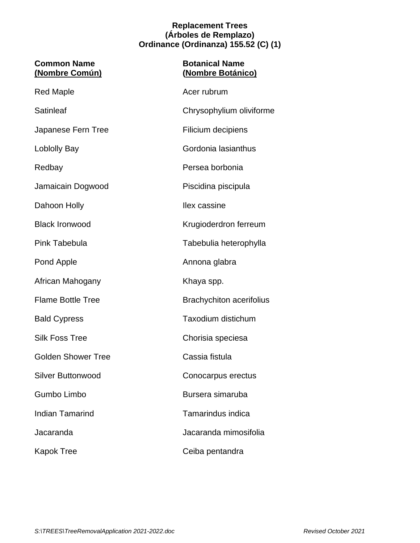#### **Replacement Trees (Árboles de Remplazo) Ordinance (Ordinanza) 155.52 (C) (1)**

| <b>Common Name</b><br>(Nombre Común) | <b>Botanical Name</b><br>(Nombre Botánico) |
|--------------------------------------|--------------------------------------------|
| <b>Red Maple</b>                     | Acer rubrum                                |
| <b>Satinleaf</b>                     | Chrysophylium oliviforme                   |
| Japanese Fern Tree                   | Filicium decipiens                         |
| <b>Loblolly Bay</b>                  | Gordonia lasianthus                        |
| Redbay                               | Persea borbonia                            |
| Jamaicain Dogwood                    | Piscidina piscipula                        |
| Dahoon Holly                         | Ilex cassine                               |
| <b>Black Ironwood</b>                | Krugioderdron ferreum                      |
| Pink Tabebula                        | Tabebulia heterophylla                     |
| Pond Apple                           | Annona glabra                              |
| African Mahogany                     | Khaya spp.                                 |
| <b>Flame Bottle Tree</b>             | <b>Brachychiton acerifolius</b>            |
| <b>Bald Cypress</b>                  | Taxodium distichum                         |
| <b>Silk Foss Tree</b>                | Chorisia speciesa                          |
| <b>Golden Shower Tree</b>            | Cassia fistula                             |
| <b>Silver Buttonwood</b>             | Conocarpus erectus                         |
| <b>Gumbo Limbo</b>                   | Bursera simaruba                           |
| <b>Indian Tamarind</b>               | Tamarindus indica                          |
| Jacaranda                            | Jacaranda mimosifolia                      |
| Kapok Tree                           | Ceiba pentandra                            |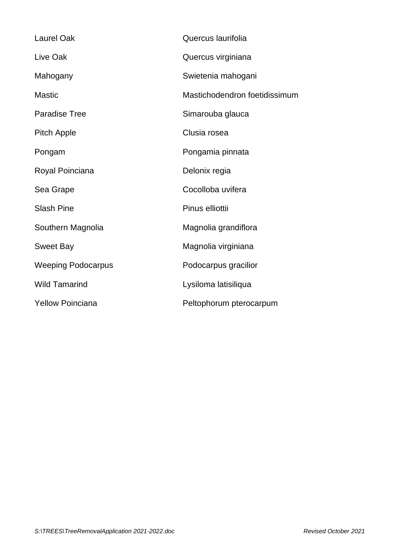| Quercus laurifolia            |
|-------------------------------|
| Quercus virginiana            |
| Swietenia mahogani            |
| Mastichodendron foetidissimum |
| Simarouba glauca              |
| Clusia rosea                  |
| Pongamia pinnata              |
| Delonix regia                 |
| Cocolloba uvifera             |
| Pinus elliottii               |
| Magnolia grandiflora          |
| Magnolia virginiana           |
| Podocarpus gracilior          |
| Lysiloma latisiliqua          |
| Peltophorum pterocarpum       |
|                               |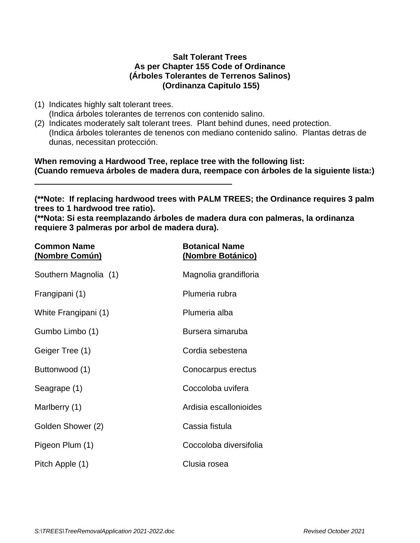#### **Salt Tolerant Trees As per Chapter 155 Code of Ordinance (Árboles Tolerantes de Terrenos Salinos) (Ordinanza Capitulo 155)**

- (1) Indicates highly salt tolerant trees.
- (Indica árboles tolerantes de terrenos con contenido salino.
- (2) Indicates moderately salt tolerant trees. Plant behind dunes, need protection. (Indica árboles tolerantes de tenenos con mediano contenido salino. Plantas detras de dunas, necessitan protección.

**When removing a Hardwood Tree, replace tree with the following list: (Cuando remueva árboles de madera dura, reempace con árboles de la siguiente lista:)**

**(\*\*Note: If replacing hardwood trees with PALM TREES; the Ordinance requires 3 palm trees to 1 hardwood tree ratio).**

**(\*\*Nota: Si esta reemplazando árboles de madera dura con palmeras, la ordinanza requiere 3 palmeras por arbol de madera dura).**

| <b>Common Name</b><br>(Nombre Común) | <b>Botanical Name</b><br>(Nombre Botánico) |  |
|--------------------------------------|--------------------------------------------|--|
| Southern Magnolia (1)                | Magnolia grandifloria                      |  |
| Frangipani (1)                       | Plumeria rubra                             |  |
| White Frangipani (1)                 | Plumeria alba                              |  |
| Gumbo Limbo (1)                      | Bursera simaruba                           |  |
| Geiger Tree (1)                      | Cordia sebestena                           |  |
| Buttonwood (1)                       | Conocarpus erectus                         |  |
| Seagrape (1)                         | Coccoloba uvifera                          |  |
| Marlberry (1)                        | Ardisia escallonioides                     |  |
| Golden Shower (2)                    | Cassia fistula                             |  |
| Pigeon Plum (1)                      | Coccoloba diversifolia                     |  |
| Pitch Apple (1)                      | Clusia rosea                               |  |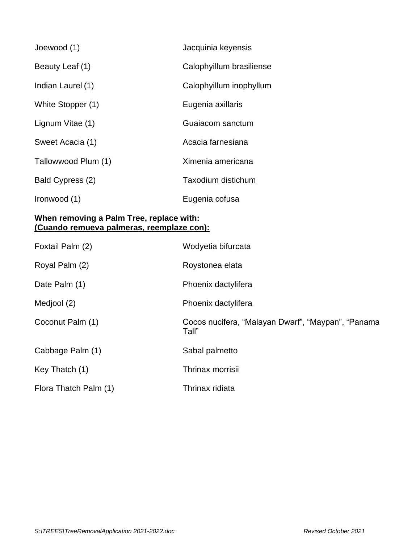| Joewood (1)         | Jacquinia keyensis       |
|---------------------|--------------------------|
| Beauty Leaf (1)     | Calophyillum brasiliense |
| Indian Laurel (1)   | Calophyillum inophyllum  |
| White Stopper (1)   | Eugenia axillaris        |
| Lignum Vitae (1)    | Guaiacom sanctum         |
| Sweet Acacia (1)    | Acacia farnesiana        |
| Tallowwood Plum (1) | Ximenia americana        |
| Bald Cypress (2)    | Taxodium distichum       |
| Ironwood (1)        | Eugenia cofusa           |

### **When removing a Palm Tree, replace with: (Cuando remueva palmeras, reemplaze con):**

| Foxtail Palm (2)      | Wodyetia bifurcata                                          |
|-----------------------|-------------------------------------------------------------|
| Royal Palm (2)        | Roystonea elata                                             |
| Date Palm (1)         | Phoenix dactylifera                                         |
| Medjool (2)           | Phoenix dactylifera                                         |
| Coconut Palm (1)      | Cocos nucifera, "Malayan Dwarf", "Maypan", "Panama<br>Tall" |
| Cabbage Palm (1)      | Sabal palmetto                                              |
| Key Thatch (1)        | Thrinax morrisii                                            |
| Flora Thatch Palm (1) | Thrinax ridiata                                             |